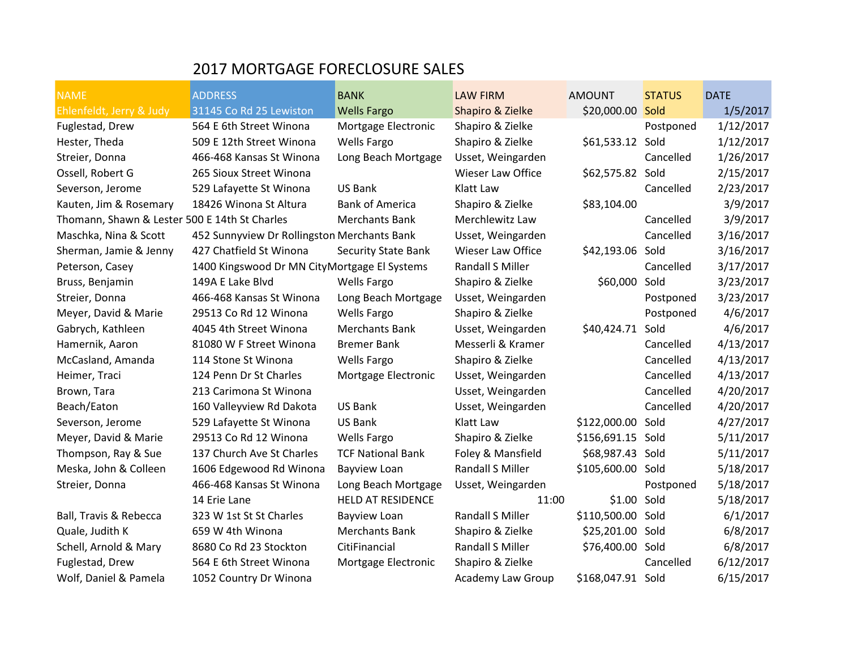## 2017 MORTGAGE FORECLOSURE SALES

| <b>NAME</b>                                   | <b>ADDRESS</b>                               | <b>BANK</b>                | <b>LAW FIRM</b>          | <b>AMOUNT</b>     | <b>STATUS</b> | <b>DATE</b> |
|-----------------------------------------------|----------------------------------------------|----------------------------|--------------------------|-------------------|---------------|-------------|
| Ehlenfeldt, Jerry & Judy                      | 31145 Co Rd 25 Lewiston                      | <b>Wells Fargo</b>         | Shapiro & Zielke         | \$20,000.00       | Sold          | 1/5/2017    |
| Fuglestad, Drew                               | 564 E 6th Street Winona                      | Mortgage Electronic        | Shapiro & Zielke         |                   | Postponed     | 1/12/2017   |
| Hester, Theda                                 | 509 E 12th Street Winona                     | <b>Wells Fargo</b>         | Shapiro & Zielke         | \$61,533.12       | Sold          | 1/12/2017   |
| Streier, Donna                                | 466-468 Kansas St Winona                     | Long Beach Mortgage        | Usset, Weingarden        |                   | Cancelled     | 1/26/2017   |
| Ossell, Robert G                              | 265 Sioux Street Winona                      |                            | Wieser Law Office        | \$62,575.82 Sold  |               | 2/15/2017   |
| Severson, Jerome                              | 529 Lafayette St Winona                      | US Bank                    | Klatt Law                |                   | Cancelled     | 2/23/2017   |
| Kauten, Jim & Rosemary                        | 18426 Winona St Altura                       | <b>Bank of America</b>     | Shapiro & Zielke         | \$83,104.00       |               | 3/9/2017    |
| Thomann, Shawn & Lester 500 E 14th St Charles |                                              | <b>Merchants Bank</b>      | Merchlewitz Law          |                   | Cancelled     | 3/9/2017    |
| Maschka, Nina & Scott                         | 452 Sunnyview Dr Rollingston Merchants Bank  |                            | Usset, Weingarden        |                   | Cancelled     | 3/16/2017   |
| Sherman, Jamie & Jenny                        | 427 Chatfield St Winona                      | <b>Security State Bank</b> | Wieser Law Office        | \$42,193.06       | Sold          | 3/16/2017   |
| Peterson, Casey                               | 1400 Kingswood Dr MN CityMortgage El Systems |                            | Randall S Miller         |                   | Cancelled     | 3/17/2017   |
| Bruss, Benjamin                               | 149A E Lake Blvd                             | <b>Wells Fargo</b>         | Shapiro & Zielke         | \$60,000          | Sold          | 3/23/2017   |
| Streier, Donna                                | 466-468 Kansas St Winona                     | Long Beach Mortgage        | Usset, Weingarden        |                   | Postponed     | 3/23/2017   |
| Meyer, David & Marie                          | 29513 Co Rd 12 Winona                        | <b>Wells Fargo</b>         | Shapiro & Zielke         |                   | Postponed     | 4/6/2017    |
| Gabrych, Kathleen                             | 4045 4th Street Winona                       | <b>Merchants Bank</b>      | Usset, Weingarden        | \$40,424.71       | Sold          | 4/6/2017    |
| Hamernik, Aaron                               | 81080 W F Street Winona                      | <b>Bremer Bank</b>         | Messerli & Kramer        |                   | Cancelled     | 4/13/2017   |
| McCasland, Amanda                             | 114 Stone St Winona                          | <b>Wells Fargo</b>         | Shapiro & Zielke         |                   | Cancelled     | 4/13/2017   |
| Heimer, Traci                                 | 124 Penn Dr St Charles                       | Mortgage Electronic        | Usset, Weingarden        |                   | Cancelled     | 4/13/2017   |
| Brown, Tara                                   | 213 Carimona St Winona                       |                            | Usset, Weingarden        |                   | Cancelled     | 4/20/2017   |
| Beach/Eaton                                   | 160 Valleyview Rd Dakota                     | US Bank                    | Usset, Weingarden        |                   | Cancelled     | 4/20/2017   |
| Severson, Jerome                              | 529 Lafayette St Winona                      | <b>US Bank</b>             | Klatt Law                | \$122,000.00      | Sold          | 4/27/2017   |
| Meyer, David & Marie                          | 29513 Co Rd 12 Winona                        | <b>Wells Fargo</b>         | Shapiro & Zielke         | \$156,691.15 Sold |               | 5/11/2017   |
| Thompson, Ray & Sue                           | 137 Church Ave St Charles                    | <b>TCF National Bank</b>   | Foley & Mansfield        | \$68,987.43 Sold  |               | 5/11/2017   |
| Meska, John & Colleen                         | 1606 Edgewood Rd Winona                      | Bayview Loan               | Randall S Miller         | \$105,600.00      | Sold          | 5/18/2017   |
| Streier, Donna                                | 466-468 Kansas St Winona                     | Long Beach Mortgage        | Usset, Weingarden        |                   | Postponed     | 5/18/2017   |
|                                               | 14 Erie Lane                                 | <b>HELD AT RESIDENCE</b>   | 11:00                    | \$1.00            | Sold          | 5/18/2017   |
| Ball, Travis & Rebecca                        | 323 W 1st St St Charles                      | Bayview Loan               | Randall S Miller         | \$110,500.00 Sold |               | 6/1/2017    |
| Quale, Judith K                               | 659 W 4th Winona                             | <b>Merchants Bank</b>      | Shapiro & Zielke         | \$25,201.00 Sold  |               | 6/8/2017    |
| Schell, Arnold & Mary                         | 8680 Co Rd 23 Stockton                       | CitiFinancial              | Randall S Miller         | \$76,400.00 Sold  |               | 6/8/2017    |
| Fuglestad, Drew                               | 564 E 6th Street Winona                      | Mortgage Electronic        | Shapiro & Zielke         |                   | Cancelled     | 6/12/2017   |
| Wolf, Daniel & Pamela                         | 1052 Country Dr Winona                       |                            | <b>Academy Law Group</b> | \$168,047.91 Sold |               | 6/15/2017   |